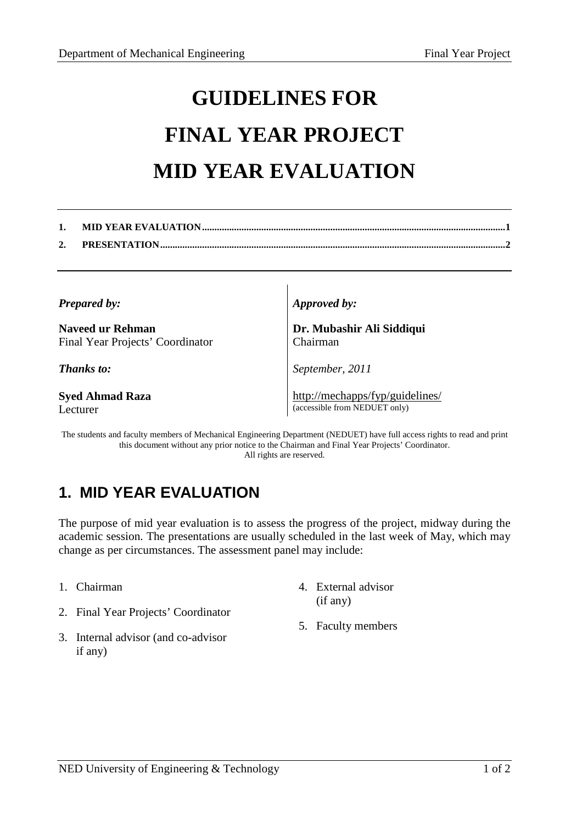## **GUIDELINES FOR FINAL YEAR PROJECT MID YEAR EVALUATION**

| <b>Prepared by:</b> |  |
|---------------------|--|
|---------------------|--|

**Naveed ur Rehman**  Final Year Projects' Coordinator

*Thanks to:* 

**Syed Ahmad Raza**  Lecturer

*Approved by:* 

**Dr. Mubashir Ali Siddiqui**  Chairman

*September, 2011*

http://mechapps/fyp/guidelines/ (accessible from NEDUET only)

The students and faculty members of Mechanical Engineering Department (NEDUET) have full access rights to read and print this document without any prior notice to the Chairman and Final Year Projects' Coordinator. All rights are reserved.

## **1. MID YEAR EVALUATION**

The purpose of mid year evaluation is to assess the progress of the project, midway during the academic session. The presentations are usually scheduled in the last week of May, which may change as per circumstances. The assessment panel may include:

- 1. Chairman
- 2. Final Year Projects' Coordinator
- 3. Internal advisor (and co-advisor if any)
- 4. External advisor (if any)
- 5. Faculty members